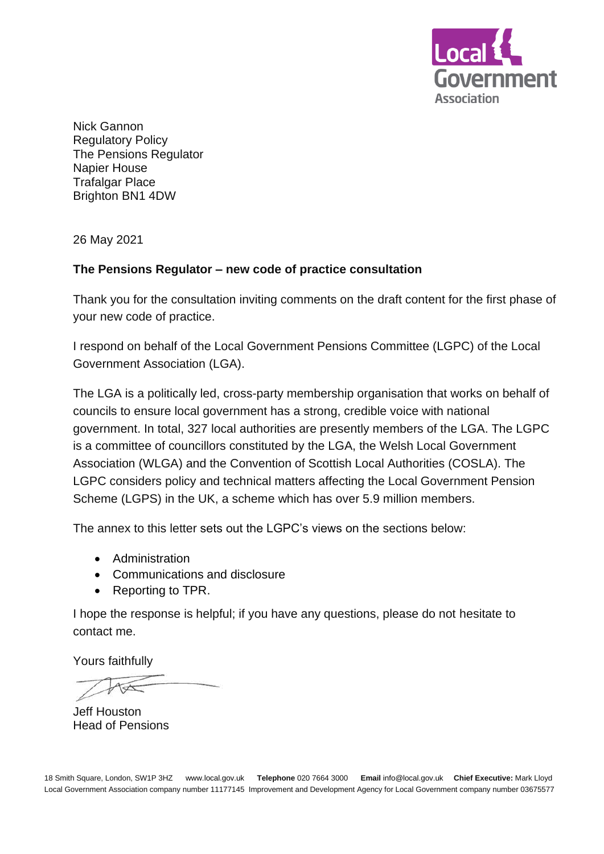

Nick Gannon Regulatory Policy The Pensions Regulator Napier House Trafalgar Place Brighton BN1 4DW

26 May 2021

#### **The Pensions Regulator – new code of practice consultation**

Thank you for the consultation inviting comments on the draft content for the first phase of your new code of practice.

I respond on behalf of the Local Government Pensions Committee (LGPC) of the Local Government Association (LGA).

The LGA is a politically led, cross-party membership organisation that works on behalf of councils to ensure local government has a strong, credible voice with national government. In total, 327 local authorities are presently members of the LGA. The LGPC is a committee of councillors constituted by the LGA, the Welsh Local Government Association (WLGA) and the Convention of Scottish Local Authorities (COSLA). The LGPC considers policy and technical matters affecting the Local Government Pension Scheme (LGPS) in the UK, a scheme which has over 5.9 million members.

The annex to this letter sets out the LGPC's views on the sections below:

- Administration
- Communications and disclosure
- Reporting to TPR.

I hope the response is helpful; if you have any questions, please do not hesitate to contact me.

Yours faithfully

Jeff Houston Head of Pensions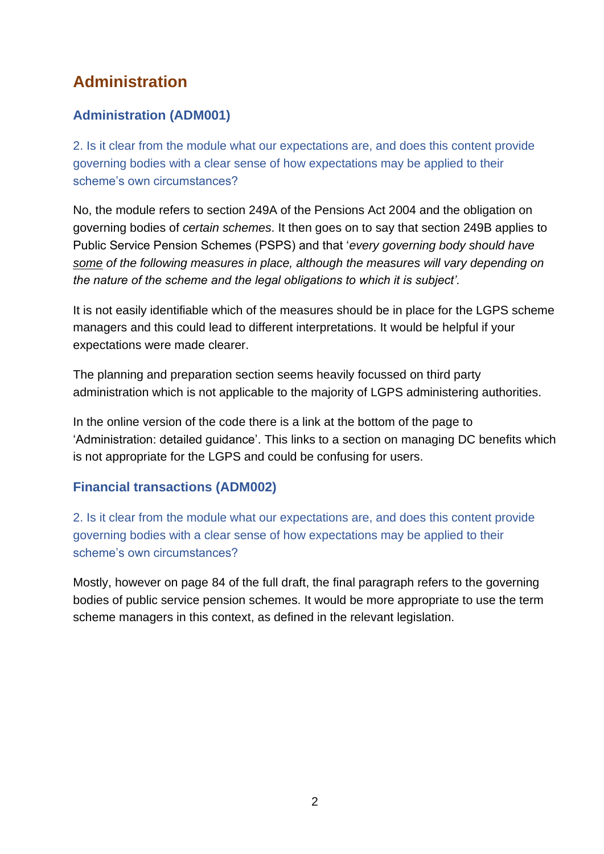# **Administration**

# **Administration (ADM001)**

2. Is it clear from the module what our expectations are, and does this content provide governing bodies with a clear sense of how expectations may be applied to their scheme's own circumstances?

No, the module refers to section 249A of the Pensions Act 2004 and the obligation on governing bodies of *certain schemes*. It then goes on to say that section 249B applies to Public Service Pension Schemes (PSPS) and that '*every governing body should have some of the following measures in place, although the measures will vary depending on the nature of the scheme and the legal obligations to which it is subject'.* 

It is not easily identifiable which of the measures should be in place for the LGPS scheme managers and this could lead to different interpretations. It would be helpful if your expectations were made clearer.

The planning and preparation section seems heavily focussed on third party administration which is not applicable to the majority of LGPS administering authorities.

In the online version of the code there is a link at the bottom of the page to 'Administration: detailed guidance'. This links to a section on managing DC benefits which is not appropriate for the LGPS and could be confusing for users.

# **Financial transactions (ADM002)**

2. Is it clear from the module what our expectations are, and does this content provide governing bodies with a clear sense of how expectations may be applied to their scheme's own circumstances?

Mostly, however on page 84 of the full draft, the final paragraph refers to the governing bodies of public service pension schemes. It would be more appropriate to use the term scheme managers in this context, as defined in the relevant legislation.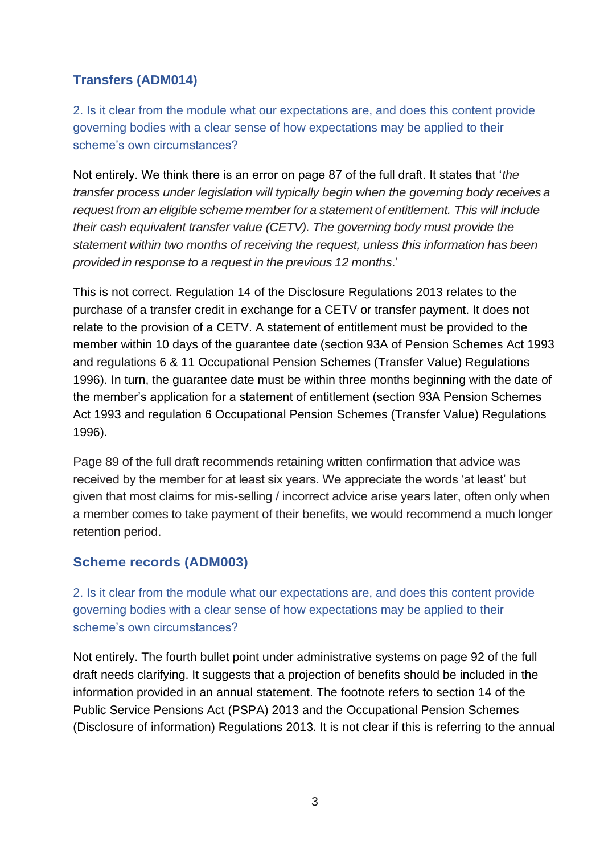# **Transfers (ADM014)**

2. Is it clear from the module what our expectations are, and does this content provide governing bodies with a clear sense of how expectations may be applied to their scheme's own circumstances?

Not entirely. We think there is an error on page 87 of the full draft. It states that '*the transfer process under legislation will typically begin when the governing body receives a request from an eligible scheme member for a statement of entitlement. This will include their cash equivalent transfer value (CETV). The governing body must provide the statement within two months of receiving the request, unless this information has been provided in response to a request in the previous 12 months*.'

This is not correct. Regulation 14 of the Disclosure Regulations 2013 relates to the purchase of a transfer credit in exchange for a CETV or transfer payment. It does not relate to the provision of a CETV. A statement of entitlement must be provided to the member within 10 days of the guarantee date (section 93A of Pension Schemes Act 1993 and regulations 6 & 11 Occupational Pension Schemes (Transfer Value) Regulations 1996). In turn, the guarantee date must be within three months beginning with the date of the member's application for a statement of entitlement (section 93A Pension Schemes Act 1993 and regulation 6 Occupational Pension Schemes (Transfer Value) Regulations 1996).

Page 89 of the full draft recommends retaining written confirmation that advice was received by the member for at least six years. We appreciate the words 'at least' but given that most claims for mis-selling / incorrect advice arise years later, often only when a member comes to take payment of their benefits, we would recommend a much longer retention period.

### **Scheme records (ADM003)**

2. Is it clear from the module what our expectations are, and does this content provide governing bodies with a clear sense of how expectations may be applied to their scheme's own circumstances?

Not entirely. The fourth bullet point under administrative systems on page 92 of the full draft needs clarifying. It suggests that a projection of benefits should be included in the information provided in an annual statement. The footnote refers to section 14 of the Public Service Pensions Act (PSPA) 2013 and the Occupational Pension Schemes (Disclosure of information) Regulations 2013. It is not clear if this is referring to the annual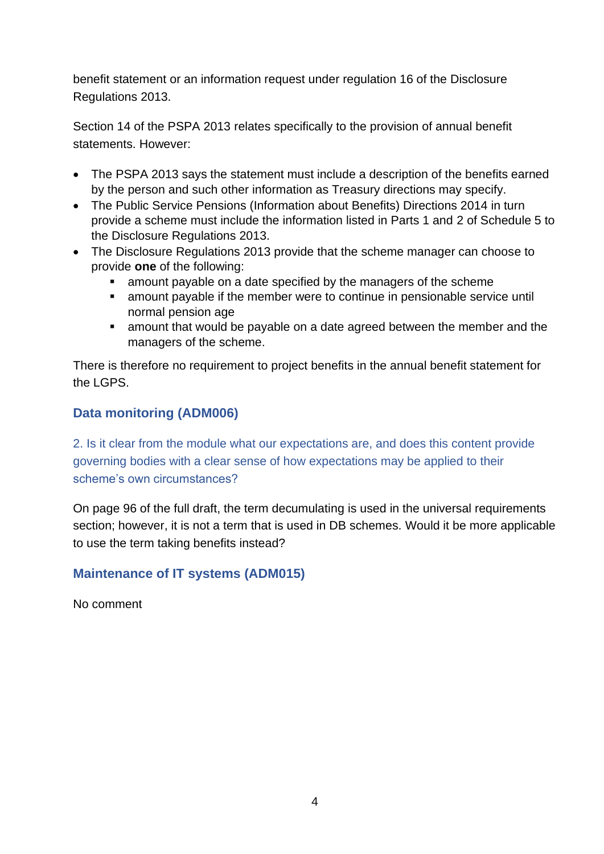benefit statement or an information request under regulation 16 of the Disclosure Regulations 2013.

Section 14 of the PSPA 2013 relates specifically to the provision of annual benefit statements. However:

- The PSPA 2013 says the statement must include a description of the benefits earned by the person and such other information as Treasury directions may specify.
- The Public Service Pensions (Information about Benefits) Directions 2014 in turn provide a scheme must include the information listed in Parts 1 and 2 of Schedule 5 to the Disclosure Regulations 2013.
- The Disclosure Regulations 2013 provide that the scheme manager can choose to provide **one** of the following:
	- amount payable on a date specified by the managers of the scheme
	- amount payable if the member were to continue in pensionable service until normal pension age
	- amount that would be payable on a date agreed between the member and the managers of the scheme.

There is therefore no requirement to project benefits in the annual benefit statement for the LGPS.

# **Data monitoring (ADM006)**

2. Is it clear from the module what our expectations are, and does this content provide governing bodies with a clear sense of how expectations may be applied to their scheme's own circumstances?

On page 96 of the full draft, the term decumulating is used in the universal requirements section; however, it is not a term that is used in DB schemes. Would it be more applicable to use the term taking benefits instead?

# **Maintenance of IT systems (ADM015)**

No comment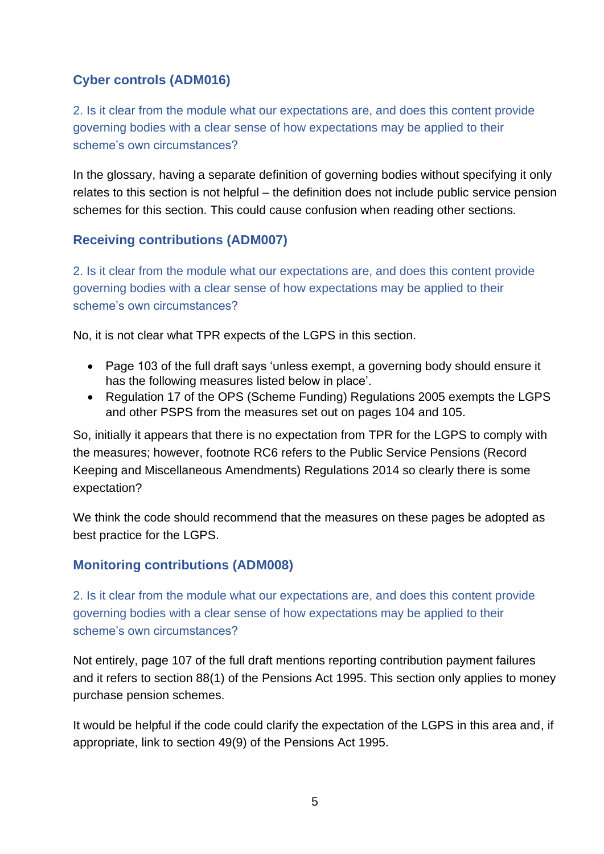# **Cyber controls (ADM016)**

2. Is it clear from the module what our expectations are, and does this content provide governing bodies with a clear sense of how expectations may be applied to their scheme's own circumstances?

In the glossary, having a separate definition of governing bodies without specifying it only relates to this section is not helpful – the definition does not include public service pension schemes for this section. This could cause confusion when reading other sections.

## **Receiving contributions (ADM007)**

2. Is it clear from the module what our expectations are, and does this content provide governing bodies with a clear sense of how expectations may be applied to their scheme's own circumstances?

No, it is not clear what TPR expects of the LGPS in this section.

- Page 103 of the full draft says 'unless exempt, a governing body should ensure it has the following measures listed below in place'.
- Regulation 17 of the OPS (Scheme Funding) Regulations 2005 exempts the LGPS and other PSPS from the measures set out on pages 104 and 105.

So, initially it appears that there is no expectation from TPR for the LGPS to comply with the measures; however, footnote RC6 refers to the Public Service Pensions (Record Keeping and Miscellaneous Amendments) Regulations 2014 so clearly there is some expectation?

We think the code should recommend that the measures on these pages be adopted as best practice for the LGPS.

# **Monitoring contributions (ADM008)**

2. Is it clear from the module what our expectations are, and does this content provide governing bodies with a clear sense of how expectations may be applied to their scheme's own circumstances?

Not entirely, page 107 of the full draft mentions reporting contribution payment failures and it refers to section 88(1) of the Pensions Act 1995. This section only applies to money purchase pension schemes.

It would be helpful if the code could clarify the expectation of the LGPS in this area and, if appropriate, link to section 49(9) of the Pensions Act 1995.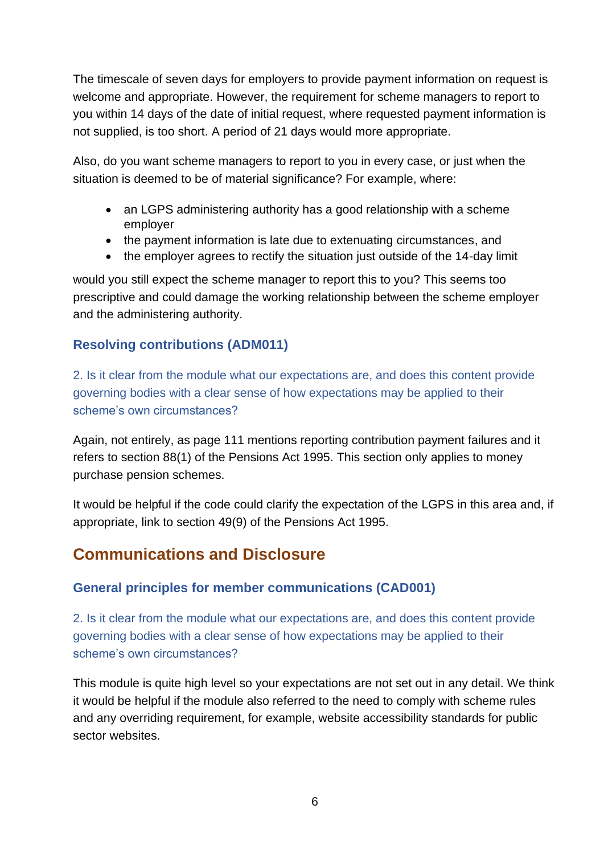The timescale of seven days for employers to provide payment information on request is welcome and appropriate. However, the requirement for scheme managers to report to you within 14 days of the date of initial request, where requested payment information is not supplied, is too short. A period of 21 days would more appropriate.

Also, do you want scheme managers to report to you in every case, or just when the situation is deemed to be of material significance? For example, where:

- an LGPS administering authority has a good relationship with a scheme employer
- the payment information is late due to extenuating circumstances, and
- the employer agrees to rectify the situation just outside of the 14-day limit

would you still expect the scheme manager to report this to you? This seems too prescriptive and could damage the working relationship between the scheme employer and the administering authority.

### **Resolving contributions (ADM011)**

2. Is it clear from the module what our expectations are, and does this content provide governing bodies with a clear sense of how expectations may be applied to their scheme's own circumstances?

Again, not entirely, as page 111 mentions reporting contribution payment failures and it refers to section 88(1) of the Pensions Act 1995. This section only applies to money purchase pension schemes.

It would be helpful if the code could clarify the expectation of the LGPS in this area and, if appropriate, link to section 49(9) of the Pensions Act 1995.

# **Communications and Disclosure**

### **General principles for member communications (CAD001)**

2. Is it clear from the module what our expectations are, and does this content provide governing bodies with a clear sense of how expectations may be applied to their scheme's own circumstances?

This module is quite high level so your expectations are not set out in any detail. We think it would be helpful if the module also referred to the need to comply with scheme rules and any overriding requirement, for example, website accessibility standards for public sector websites.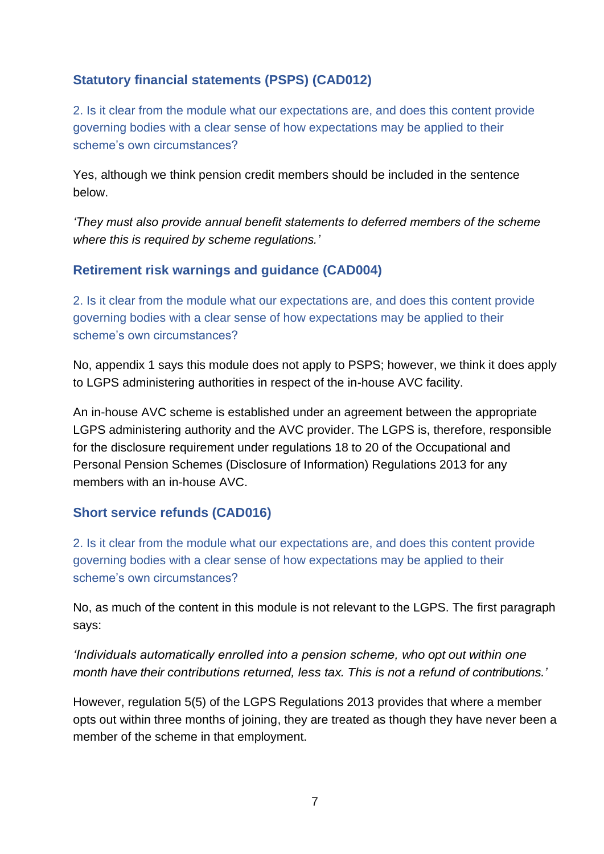# **Statutory financial statements (PSPS) (CAD012)**

2. Is it clear from the module what our expectations are, and does this content provide governing bodies with a clear sense of how expectations may be applied to their scheme's own circumstances?

Yes, although we think pension credit members should be included in the sentence below.

*'They must also provide annual benefit statements to deferred members of the scheme where this is required by scheme regulations.'*

## **Retirement risk warnings and guidance (CAD004)**

2. Is it clear from the module what our expectations are, and does this content provide governing bodies with a clear sense of how expectations may be applied to their scheme's own circumstances?

No, appendix 1 says this module does not apply to PSPS; however, we think it does apply to LGPS administering authorities in respect of the in-house AVC facility.

An in-house AVC scheme is established under an agreement between the appropriate LGPS administering authority and the AVC provider. The LGPS is, therefore, responsible for the disclosure requirement under regulations 18 to 20 of the Occupational and Personal Pension Schemes (Disclosure of Information) Regulations 2013 for any members with an in-house AVC.

### **Short service refunds (CAD016)**

2. Is it clear from the module what our expectations are, and does this content provide governing bodies with a clear sense of how expectations may be applied to their scheme's own circumstances?

No, as much of the content in this module is not relevant to the LGPS. The first paragraph says:

*'Individuals automatically enrolled into a pension scheme, who opt out within one month have their contributions returned, less tax. This is not a refund of contributions.'*

However, regulation 5(5) of the LGPS Regulations 2013 provides that where a member opts out within three months of joining, they are treated as though they have never been a member of the scheme in that employment.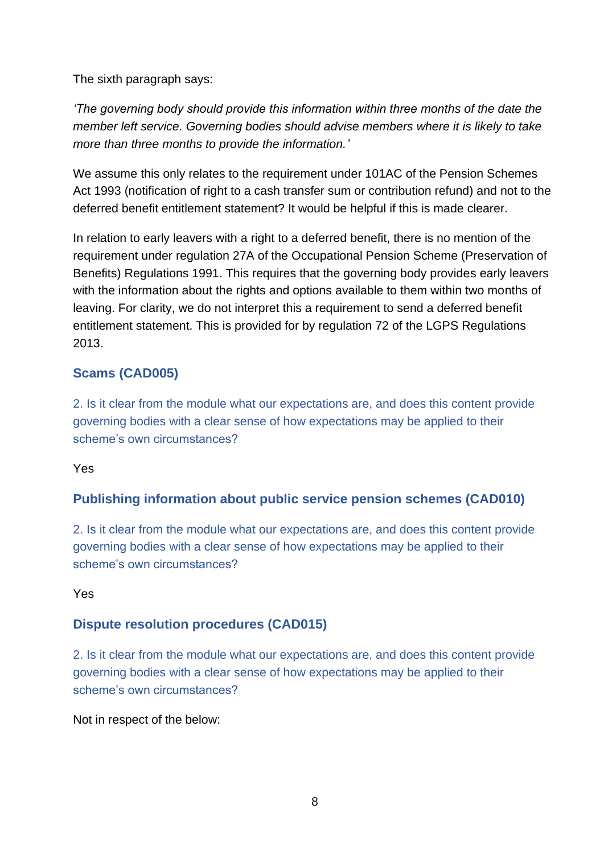The sixth paragraph says:

*'The governing body should provide this information within three months of the date the member left service. Governing bodies should advise members where it is likely to take more than three months to provide the information.'*

We assume this only relates to the requirement under 101AC of the Pension Schemes Act 1993 (notification of right to a cash transfer sum or contribution refund) and not to the deferred benefit entitlement statement? It would be helpful if this is made clearer.

In relation to early leavers with a right to a deferred benefit, there is no mention of the requirement under regulation 27A of the Occupational Pension Scheme (Preservation of Benefits) Regulations 1991. This requires that the governing body provides early leavers with the information about the rights and options available to them within two months of leaving. For clarity, we do not interpret this a requirement to send a deferred benefit entitlement statement. This is provided for by regulation 72 of the LGPS Regulations 2013.

# **Scams (CAD005)**

2. Is it clear from the module what our expectations are, and does this content provide governing bodies with a clear sense of how expectations may be applied to their scheme's own circumstances?

#### Yes

# **Publishing information about public service pension schemes (CAD010)**

2. Is it clear from the module what our expectations are, and does this content provide governing bodies with a clear sense of how expectations may be applied to their scheme's own circumstances?

#### Yes

### **Dispute resolution procedures (CAD015)**

2. Is it clear from the module what our expectations are, and does this content provide governing bodies with a clear sense of how expectations may be applied to their scheme's own circumstances?

Not in respect of the below: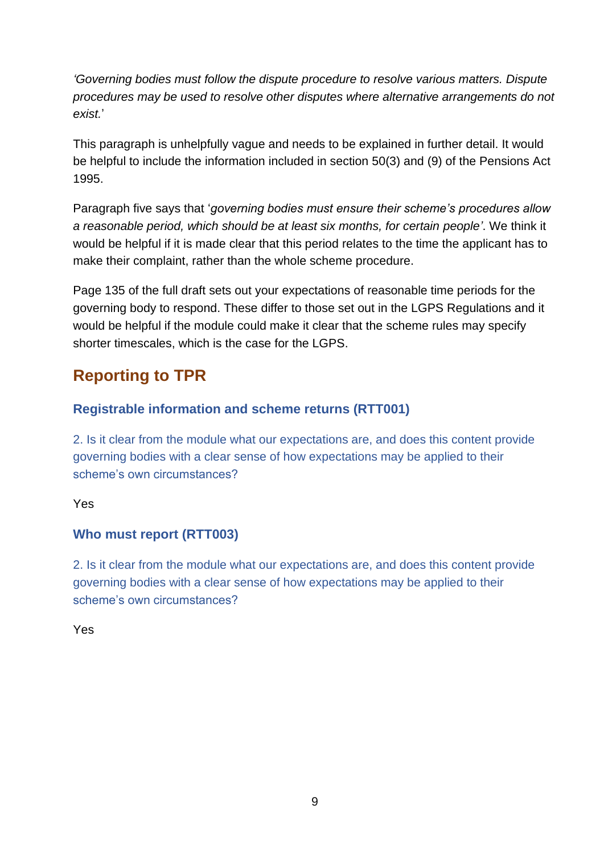*'Governing bodies must follow the dispute procedure to resolve various matters. Dispute procedures may be used to resolve other disputes where alternative arrangements do not exist.*'

This paragraph is unhelpfully vague and needs to be explained in further detail. It would be helpful to include the information included in section 50(3) and (9) of the Pensions Act 1995.

Paragraph five says that '*governing bodies must ensure their scheme's procedures allow a reasonable period, which should be at least six months, for certain people'*. We think it would be helpful if it is made clear that this period relates to the time the applicant has to make their complaint, rather than the whole scheme procedure.

Page 135 of the full draft sets out your expectations of reasonable time periods for the governing body to respond. These differ to those set out in the LGPS Regulations and it would be helpful if the module could make it clear that the scheme rules may specify shorter timescales, which is the case for the LGPS.

# **Reporting to TPR**

# **Registrable information and scheme returns (RTT001)**

2. Is it clear from the module what our expectations are, and does this content provide governing bodies with a clear sense of how expectations may be applied to their scheme's own circumstances?

### Yes

# **Who must report (RTT003)**

2. Is it clear from the module what our expectations are, and does this content provide governing bodies with a clear sense of how expectations may be applied to their scheme's own circumstances?

Yes